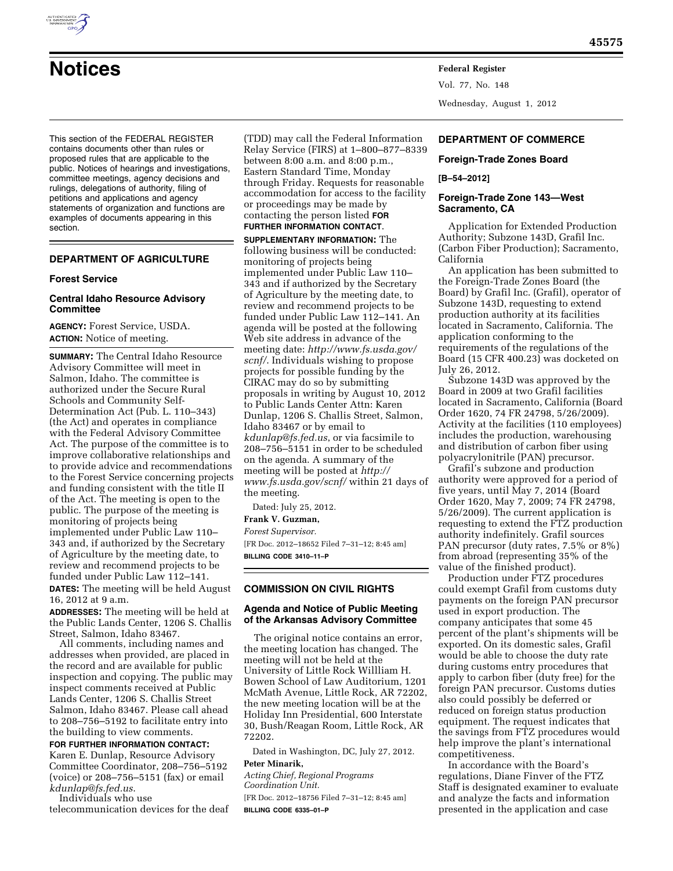

# **Notices Federal Register**

This section of the FEDERAL REGISTER contains documents other than rules or proposed rules that are applicable to the public. Notices of hearings and investigations, committee meetings, agency decisions and rulings, delegations of authority, filing of petitions and applications and agency statements of organization and functions are examples of documents appearing in this section.

# **DEPARTMENT OF AGRICULTURE**

## **Forest Service**

# **Central Idaho Resource Advisory Committee**

**AGENCY:** Forest Service, USDA. **ACTION:** Notice of meeting.

**SUMMARY:** The Central Idaho Resource Advisory Committee will meet in Salmon, Idaho. The committee is authorized under the Secure Rural Schools and Community Self-Determination Act (Pub. L. 110–343) (the Act) and operates in compliance with the Federal Advisory Committee Act. The purpose of the committee is to improve collaborative relationships and to provide advice and recommendations to the Forest Service concerning projects and funding consistent with the title II of the Act. The meeting is open to the public. The purpose of the meeting is monitoring of projects being implemented under Public Law 110– 343 and, if authorized by the Secretary of Agriculture by the meeting date, to review and recommend projects to be funded under Public Law 112–141. **DATES:** The meeting will be held August 16, 2012 at 9 a.m.

**ADDRESSES:** The meeting will be held at the Public Lands Center, 1206 S. Challis Street, Salmon, Idaho 83467.

All comments, including names and addresses when provided, are placed in the record and are available for public inspection and copying. The public may inspect comments received at Public Lands Center, 1206 S. Challis Street Salmon, Idaho 83467. Please call ahead to 208–756–5192 to facilitate entry into the building to view comments.

# **FOR FURTHER INFORMATION CONTACT:**

Karen E. Dunlap, Resource Advisory Committee Coordinator, 208–756–5192 (voice) or 208–756–5151 (fax) or email *[kdunlap@fs.fed.us](mailto:kdunlap@fs.fed.us)*.

Individuals who use

telecommunication devices for the deaf

(TDD) may call the Federal Information Relay Service (FIRS) at 1–800–877–8339 between 8:00 a.m. and 8:00 p.m., Eastern Standard Time, Monday through Friday. Requests for reasonable accommodation for access to the facility or proceedings may be made by contacting the person listed **FOR FURTHER INFORMATION CONTACT**.

**SUPPLEMENTARY INFORMATION:** The following business will be conducted: monitoring of projects being implemented under Public Law 110– 343 and if authorized by the Secretary of Agriculture by the meeting date, to review and recommend projects to be funded under Public Law 112–141. An agenda will be posted at the following Web site address in advance of the meeting date: *[http://www.fs.usda.gov/](http://www.fs.usda.gov/scnf/) [scnf/](http://www.fs.usda.gov/scnf/)*. Individuals wishing to propose projects for possible funding by the CIRAC may do so by submitting proposals in writing by August 10, 2012 to Public Lands Center Attn: Karen Dunlap, 1206 S. Challis Street, Salmon, Idaho 83467 or by email to *[kdunlap@fs.fed.us](mailto:kdunlap@fs.fed.us)*, or via facsimile to 208–756–5151 in order to be scheduled on the agenda. A summary of the meeting will be posted at *[http://](http://www.fs.usda.gov/scnf/)  [www.fs.usda.gov/scnf/](http://www.fs.usda.gov/scnf/)* within 21 days of the meeting.

Dated: July 25, 2012.

**Frank V. Guzman,** 

*Forest Supervisor.*  [FR Doc. 2012–18652 Filed 7–31–12; 8:45 am] **BILLING CODE 3410–11–P** 

# **COMMISSION ON CIVIL RIGHTS**

# **Agenda and Notice of Public Meeting of the Arkansas Advisory Committee**

The original notice contains an error, the meeting location has changed. The meeting will not be held at the University of Little Rock Willliam H. Bowen School of Law Auditorium, 1201 McMath Avenue, Little Rock, AR 72202, the new meeting location will be at the Holiday Inn Presidential, 600 Interstate 30, Bush/Reagan Room, Little Rock, AR 72202.

Dated in Washington, DC, July 27, 2012. **Peter Minarik,** 

*Acting Chief, Regional Programs Coordination Unit.*  [FR Doc. 2012–18756 Filed 7–31–12; 8:45 am] **BILLING CODE 6335–01–P** 

Vol. 77, No. 148 Wednesday, August 1, 2012

# **DEPARTMENT OF COMMERCE**

### **Foreign-Trade Zones Board**

**[B–54–2012]** 

# **Foreign-Trade Zone 143—West Sacramento, CA**

Application for Extended Production Authority; Subzone 143D, Grafil Inc. (Carbon Fiber Production); Sacramento, California

An application has been submitted to the Foreign-Trade Zones Board (the Board) by Grafil Inc. (Grafil), operator of Subzone 143D, requesting to extend production authority at its facilities located in Sacramento, California. The application conforming to the requirements of the regulations of the Board (15 CFR 400.23) was docketed on July 26, 2012.

Subzone 143D was approved by the Board in 2009 at two Grafil facilities located in Sacramento, California (Board Order 1620, 74 FR 24798, 5/26/2009). Activity at the facilities (110 employees) includes the production, warehousing and distribution of carbon fiber using polyacrylonitrile (PAN) precursor.

Grafil's subzone and production authority were approved for a period of five years, until May 7, 2014 (Board Order 1620, May 7, 2009; 74 FR 24798, 5/26/2009). The current application is requesting to extend the FTZ production authority indefinitely. Grafil sources PAN precursor (duty rates, 7.5% or 8%) from abroad (representing 35% of the value of the finished product).

Production under FTZ procedures could exempt Grafil from customs duty payments on the foreign PAN precursor used in export production. The company anticipates that some 45 percent of the plant's shipments will be exported. On its domestic sales, Grafil would be able to choose the duty rate during customs entry procedures that apply to carbon fiber (duty free) for the foreign PAN precursor. Customs duties also could possibly be deferred or reduced on foreign status production equipment. The request indicates that the savings from FTZ procedures would help improve the plant's international competitiveness.

In accordance with the Board's regulations, Diane Finver of the FTZ Staff is designated examiner to evaluate and analyze the facts and information presented in the application and case